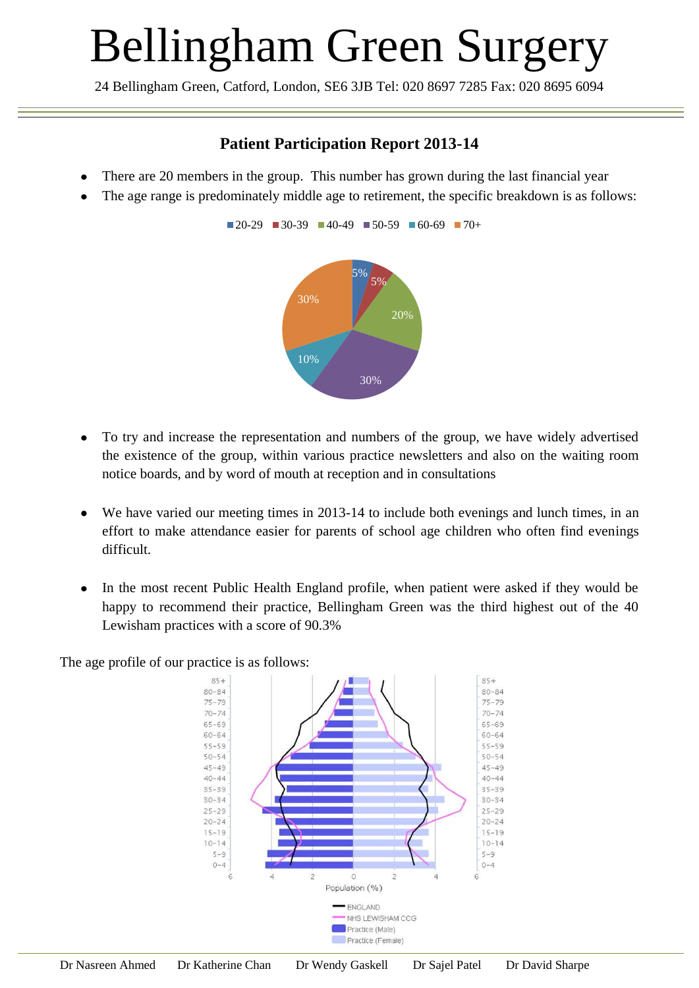## Bellingham Green Surgery

24 Bellingham Green, Catford, London, SE6 3JB Tel: 020 8697 7285 Fax: 020 8695 6094

## **Patient Participation Report 2013-14**

- There are 20 members in the group. This number has grown during the last financial year
- The age range is predominately middle age to retirement, the specific breakdown is as follows:

 $\blacksquare$  20-29  $\blacksquare$  30-39  $\blacksquare$  40-49  $\blacksquare$  50-59  $\blacksquare$  60-69  $\blacksquare$  70+



- To try and increase the representation and numbers of the group, we have widely advertised the existence of the group, within various practice newsletters and also on the waiting room notice boards, and by word of mouth at reception and in consultations
- We have varied our meeting times in 2013-14 to include both evenings and lunch times, in an  $\bullet$ effort to make attendance easier for parents of school age children who often find evenings difficult.
- In the most recent Public Health England profile, when patient were asked if they would be  $\bullet$ happy to recommend their practice, Bellingham Green was the third highest out of the 40 Lewisham practices with a score of 90.3%

The age profile of our practice is as follows: